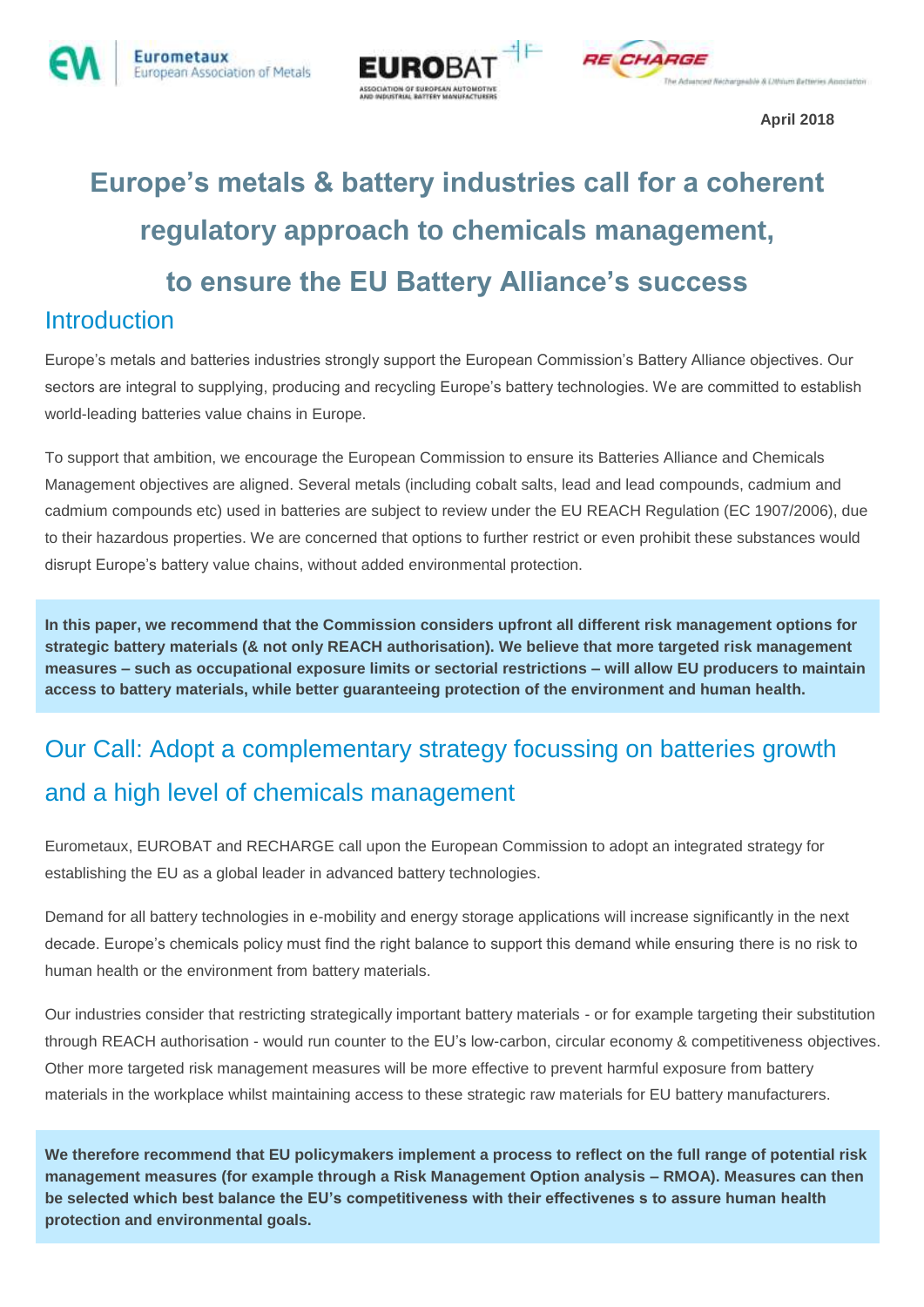



**April 2018**

# **Europe's metals & battery industries call for a coherent regulatory approach to chemicals management, to ensure the EU Battery Alliance's success Introduction**

Europe's metals and batteries industries strongly support the European Commission's Battery Alliance objectives. Our sectors are integral to supplying, producing and recycling Europe's battery technologies. We are committed to establish world-leading batteries value chains in Europe.

To support that ambition, we encourage the European Commission to ensure its Batteries Alliance and Chemicals Management objectives are aligned. Several metals (including cobalt salts, lead and lead compounds, cadmium and cadmium compounds etc) used in batteries are subject to review under the EU REACH Regulation (EC 1907/2006), due to their hazardous properties. We are concerned that options to further restrict or even prohibit these substances would disrupt Europe's battery value chains, without added environmental protection.

**In this paper, we recommend that the Commission considers upfront all different risk management options for strategic battery materials (& not only REACH authorisation). We believe that more targeted risk management measures – such as occupational exposure limits or sectorial restrictions – will allow EU producers to maintain access to battery materials, while better guaranteeing protection of the environment and human health.**

## Our Call: Adopt a complementary strategy focussing on batteries growth and a high level of chemicals management

Eurometaux, EUROBAT and RECHARGE call upon the European Commission to adopt an integrated strategy for establishing the EU as a global leader in advanced battery technologies.

Demand for all battery technologies in e-mobility and energy storage applications will increase significantly in the next decade. Europe's chemicals policy must find the right balance to support this demand while ensuring there is no risk to human health or the environment from battery materials.

Our industries consider that restricting strategically important battery materials - or for example targeting their substitution through REACH authorisation - would run counter to the EU's low-carbon, circular economy & competitiveness objectives. Other more targeted risk management measures will be more effective to prevent harmful exposure from battery materials in the workplace whilst maintaining access to these strategic raw materials for EU battery manufacturers.

**We therefore recommend that EU policymakers implement a process to reflect on the full range of potential risk management measures (for example through a Risk Management Option analysis – RMOA). Measures can then be selected which best balance the EU's competitiveness with their effectivenes s to assure human health protection and environmental goals.**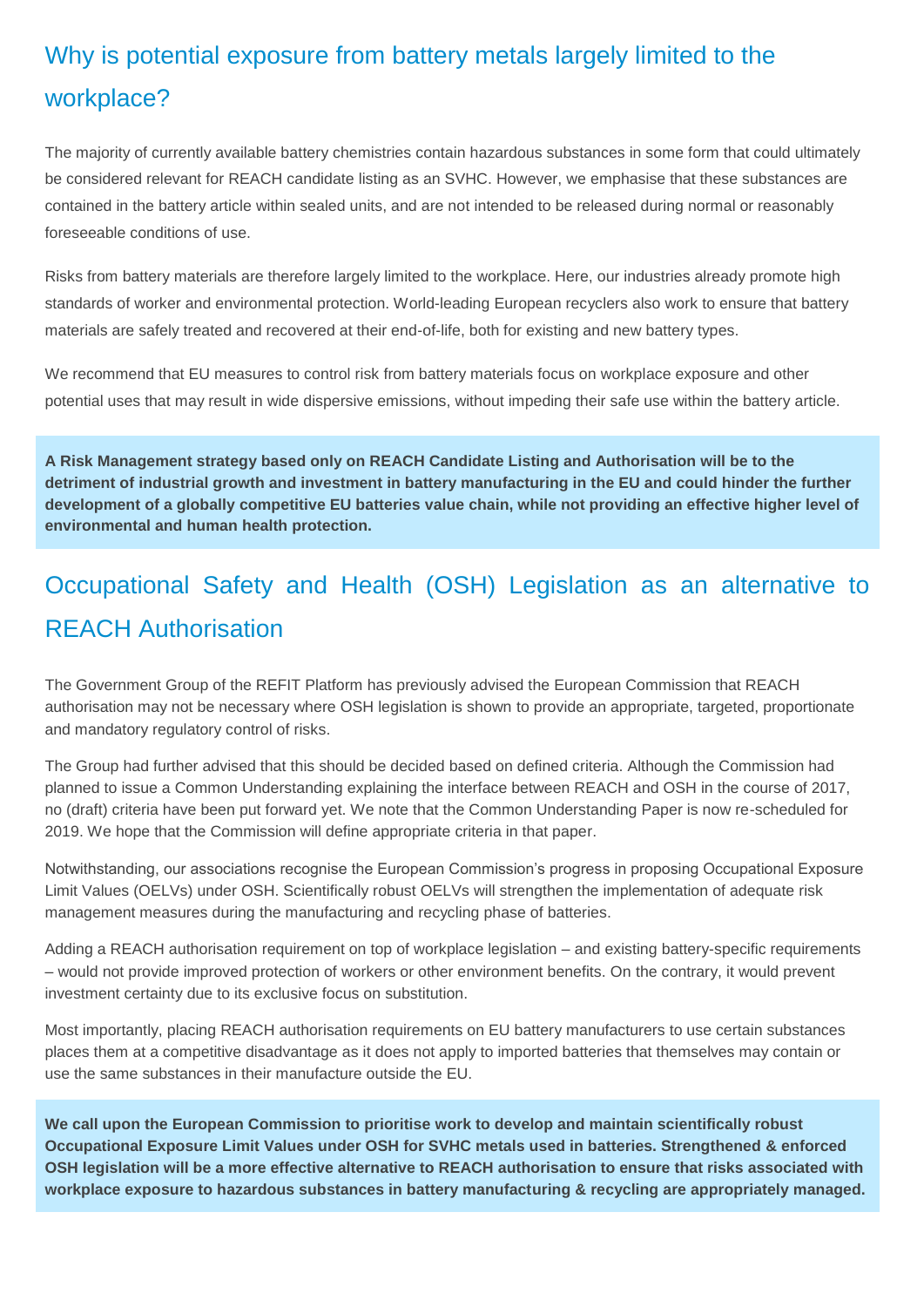### Why is potential exposure from battery metals largely limited to the workplace?

The majority of currently available battery chemistries contain hazardous substances in some form that could ultimately be considered relevant for REACH candidate listing as an SVHC. However, we emphasise that these substances are contained in the battery article within sealed units, and are not intended to be released during normal or reasonably foreseeable conditions of use.

Risks from battery materials are therefore largely limited to the workplace. Here, our industries already promote high standards of worker and environmental protection. World-leading European recyclers also work to ensure that battery materials are safely treated and recovered at their end-of-life, both for existing and new battery types.

We recommend that EU measures to control risk from battery materials focus on workplace exposure and other potential uses that may result in wide dispersive emissions, without impeding their safe use within the battery article.

**A Risk Management strategy based only on REACH Candidate Listing and Authorisation will be to the detriment of industrial growth and investment in battery manufacturing in the EU and could hinder the further development of a globally competitive EU batteries value chain, while not providing an effective higher level of environmental and human health protection.** 

### Occupational Safety and Health (OSH) Legislation as an alternative to REACH Authorisation

The Government Group of the REFIT Platform has previously advised the European Commission that REACH authorisation may not be necessary where OSH legislation is shown to provide an appropriate, targeted, proportionate and mandatory regulatory control of risks.

The Group had further advised that this should be decided based on defined criteria. Although the Commission had planned to issue a Common Understanding explaining the interface between REACH and OSH in the course of 2017, no (draft) criteria have been put forward yet. We note that the Common Understanding Paper is now re-scheduled for 2019. We hope that the Commission will define appropriate criteria in that paper.

Notwithstanding, our associations recognise the European Commission's progress in proposing Occupational Exposure Limit Values (OELVs) under OSH. Scientifically robust OELVs will strengthen the implementation of adequate risk management measures during the manufacturing and recycling phase of batteries.

Adding a REACH authorisation requirement on top of workplace legislation – and existing battery-specific requirements – would not provide improved protection of workers or other environment benefits. On the contrary, it would prevent investment certainty due to its exclusive focus on substitution.

Most importantly, placing REACH authorisation requirements on EU battery manufacturers to use certain substances places them at a competitive disadvantage as it does not apply to imported batteries that themselves may contain or use the same substances in their manufacture outside the EU.

**We call upon the European Commission to prioritise work to develop and maintain scientifically robust Occupational Exposure Limit Values under OSH for SVHC metals used in batteries. Strengthened & enforced OSH legislation will be a more effective alternative to REACH authorisation to ensure that risks associated with workplace exposure to hazardous substances in battery manufacturing & recycling are appropriately managed.**